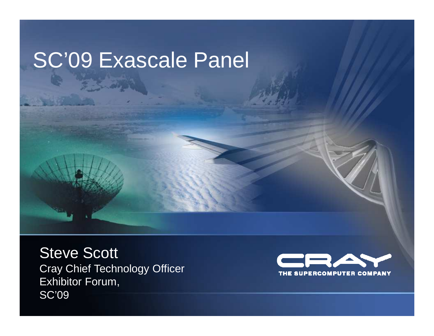## SC'09 Exascale Panel

Steve Scott Cray Chief Technology OfficerExhibitor Forum,SC'09

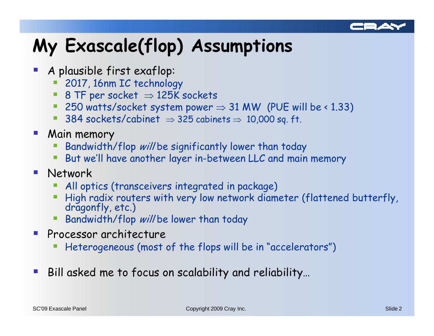

### My Exascale(flop) Assumptions

- A plausible first exaflop:
	- <sup>2017</sup>, 16nm IC technology
	- 8 TF per socket  $\Rightarrow$  125K sockets<br>■ 250 watts/socket system nower
	- 250 watts/socket system power  $\Rightarrow$  31 MW (PUE will be < 1.33)<br>■ 384 sockets/cabinet  $\rightarrow$  325 cabinets  $\rightarrow$  10,000 sq. ft
	- 384 sockets/cabinet ⇒ 325 cabinets ⇒ 10,000 sq. ft.
- **Main memory** 
	- F Bandwidth/flop will be significantly lower than today
	- But we'll have another layer in-between LLC and main memory
- **Network** 
	- F All optics (transceivers integrated in package)
	- p. High radix routers with very low network diameter (flattened butterfly, dragonfly, etc.)
	- Bandwidth/flop *will* be lower than today
- $\mathcal{L}_{\mathcal{A}}$  Processor architecture
	- p. Heterogeneous (most of the flops will be in "accelerators")
- $\mathcal{L}_{\mathcal{A}}$ Bill asked me to focus on scalability and reliability…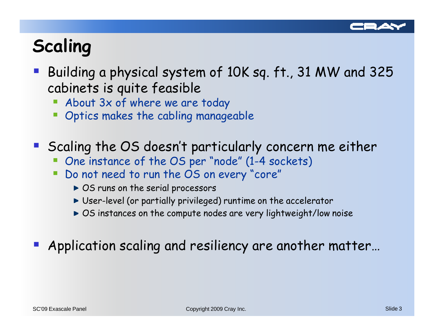

### Scaling

- Building a physical system of 10K sq. ft., 31 MW and 325 cabinets is quite feasible
	- **About 3x of where we are today Contract Contract Contract Contract Contract Contract Contract Contract Contract Contract Contract Contract C**
	- **Optics makes the cabling manageable**
- Scaling the OS doesn't particularly concern me either
	- Ŧ One instance of the OS per "node" (1-4 sockets)
	- Do not need to run the OS on every "core"
		- ▶ OS runs on the serial processors
		- User-level (or partially privileged) runtime on the accelerator
		- ► OS instances on the compute nodes are very lightweight/low noise
- **Application scaling and resiliency are another matter...**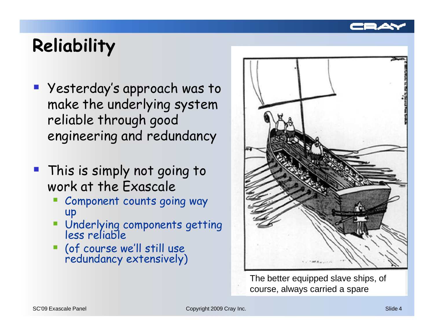

#### **Reliability**

- Yesterday's approach was to make the underlying system reliable through good engineering and redundancy
- This is simply not going to work at the Exascale
	- **Component counts going way** Ŧ up
	- Underlying components getting less reliable
	- (of course we'll still use redundancy extensively)



The better equipped slave ships, of course, always carried a spare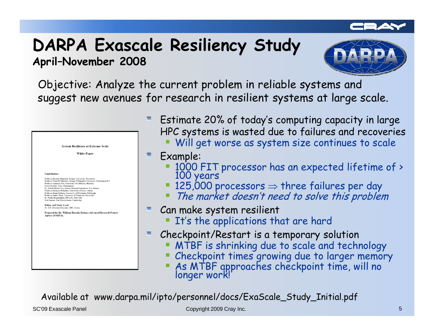#### DARPA Exascale Resiliency StudyApril–November 2008



Objective: Analyze the current problem in reliable systems and suggest new avenues for research in resilient systems at large scale.

| <b>System Resilience at Extreme Scale</b><br><b>White Paper</b>                                                                                                         |                                                                           |  |
|-------------------------------------------------------------------------------------------------------------------------------------------------------------------------|---------------------------------------------------------------------------|--|
|                                                                                                                                                                         |                                                                           |  |
| Contributors:<br>Professor Ricardo Bianchini, Rutgers University, Piscataway                                                                                            |                                                                           |  |
| Professor Armando Fox, University of California, Berkeley                                                                                                               | Professor Tarek El-Ghazawi, George Washington University, Washington D.C. |  |
| Forest Godfrey, Cray, Minneapolis<br>Professor Kathryn McKinley, University of Texas, Austin                                                                            | Dr. Adolfy Hoisie, Los Alamos National Laboratory, Los Alamos             |  |
| Professor Rami Melhem, University of Pittsburgh, Pittsburgh<br>Professor James Plank, University of Tennessee, Knoxville<br>Dr. Partha Ranganathan, HP Labs, Palto Alto |                                                                           |  |
| Josh Simons, Sun Microsystems, Cambridge                                                                                                                                |                                                                           |  |
| <b>Editor and Study Lead:</b><br>Dr. E.N. (Mootaz) Elnozahy, IBM, Austin                                                                                                |                                                                           |  |
| Agency (DARPA).                                                                                                                                                         | Prepared for Dr. William Harrod, Defense Advanced Research Project        |  |
|                                                                                                                                                                         |                                                                           |  |
|                                                                                                                                                                         |                                                                           |  |
|                                                                                                                                                                         |                                                                           |  |
|                                                                                                                                                                         |                                                                           |  |
|                                                                                                                                                                         |                                                                           |  |
|                                                                                                                                                                         |                                                                           |  |
|                                                                                                                                                                         |                                                                           |  |

- Estimate 20% of today's computing capacity in large HPC systems is wasted due to failures and recoveries
	- Will get worse as system size continues to scale
- Example:
	- 1000 FIT processor has an expected lifetime of > 100 years
	- 125,000 processors  $\Rightarrow$  three failures per day<br>■ The market doesn't need to solve this proble.
	- The market doesn't need to solve this problem
- Can make system resilient
	- **It's the applications that are hard**
- Checkpoint/Restart is a temporary solution
	- **MTBF** is shrinking due to scale and technology
	- Checkpoint times growing due to larger memory
	- As MTBF approaches checkpoint time, will no longer work!

Available at www.darpa.mil/ipto/personnel/docs/ExaScale\_Study\_Initial.pdf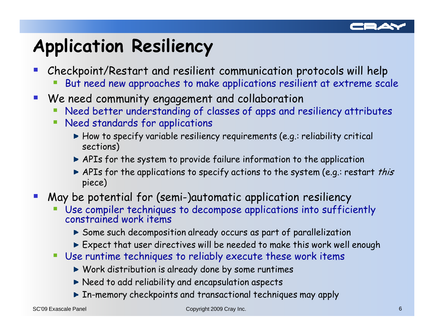

#### Application Resiliency

- Checkpoint/Restart and resilient communication protocols will help
	- h. But need new approaches to make applications resilient at extreme scale
- $\mathcal{L}_{\mathcal{A}}$  We need community engagement and collaboration
	- p. Need better understanding of classes of apps and resiliency attributes
	- **Need standards for applications** 
		- How to specify variable resiliency requirements (e.g.: reliability critical sections)
		- APIs for the system to provide failure information to the application
		- APIs for the applications to specify actions to the system (e.g.: restart *this* piece)
- May be potential for (semi-)automatic application resiliency
	- p. Use compiler techniques to decompose applications into sufficiently constrained work items
		- Some such decomposition already occurs as part of parallelization
		- Expect that user directives will be needed to make this work well enough
	- Use runtime techniques to reliably execute these work items
		- Work distribution is already done by some runtimes
		- Need to add reliability and encapsulation aspects
		- In-memory checkpoints and transactional techniques may apply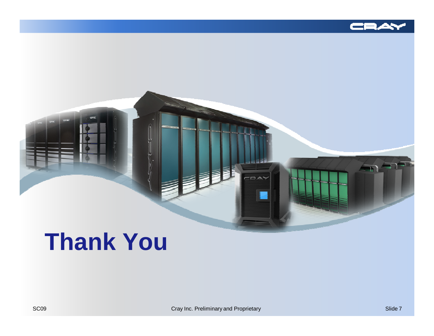



# **Thank You**